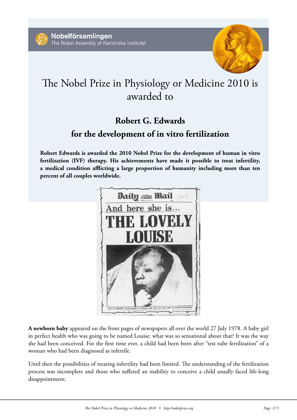



# **Robert G. Edwards**

# **for the development of in vitro fertilization**

**Robert Edwards is awarded the 2010 Nobel Prize for the development of human in vitro fertilization (IVF) therapy. His achievements have made it possible to treat infertility, a medical condition aficting a large proportion of humanity including more than ten percent of all couples worldwide.** 



**A newborn baby** appeared on the front pages of newspapers all over the world 27 July 1978. A baby girl in perfect health who was going to be named Louise: what was so sensational about that? It was the way she had been conceived. For the frst time ever, a child had been born after "test tube fertilization" of a woman who had been diagnosed as infertile.

Until then the possibilities of treating infertility had been limited. The understanding of the fertilization process was incomplete and those who sufered an inability to conceive a child usually faced life-long disappointment.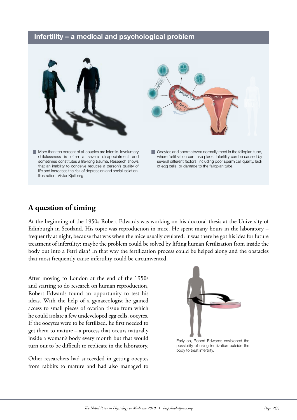#### Infertility – a medical and psychological problem



#### **A question of timing**

At the beginning of the 1950s Robert Edwards was working on his doctoral thesis at the University of Edinburgh in Scotland. His topic was reproduction in mice. He spent many hours in the laboratory – frequently at night, because that was when the mice usually ovulated. It was there he got his idea for future treatment of infertility: maybe the problem could be solved by lifting human fertilization from inside the body out into a Petri dish? In that way the fertilization process could be helped along and the obstacles that most frequently cause infertility could be circumvented.

After moving to London at the end of the 1950s and starting to do research on human reproduction, Robert Edwards found an opportunity to test his ideas. With the help of a gynaecologist he gained access to small pieces of ovarian tissue from which he could isolate a few undeveloped egg cells, oocytes. If the oocytes were to be fertilized, he frst needed to get them to mature – a process that occurs naturally inside a woman's body every month but that would turn out to be difficult to replicate in the laboratory.

Other researchers had succeeded in getting oocytes from rabbits to mature and had also managed to



Early on, Robert Edwards envisioned the possibility of using fertilization outside the body to treat infertility.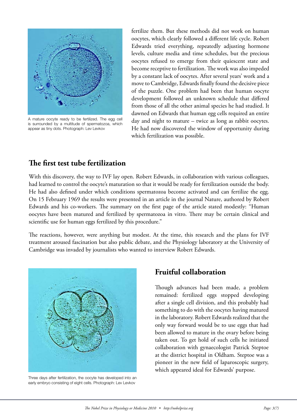

A mature oocyte ready to be fertilized. The egg cell is surrounded by a multitude of spermatozoa, which appear as tiny dots. Photograph: Lev Levkov

fertilize them. But these methods did not work on human oocytes, which clearly followed a diferent life cycle. Robert Edwards tried everything, repeatedly adjusting hormone levels, culture media and time schedules, but the precious oocytes refused to emerge from their quiescent state and become receptive to fertilization. The work was also impeded by a constant lack of oocytes. After several years' work and a move to Cambridge, Edwards fnally found the decisive piece of the puzzle. One problem had been that human oocyte development followed an unknown schedule that difered from those of all the other animal species he had studied. It dawned on Edwards that human egg cells required an entire day and night to mature – twice as long as rabbit oocytes. He had now discovered the window of opportunity during which fertilization was possible.

#### **The first test tube fertilization**

With this discovery, the way to IVF lay open. Robert Edwards, in collaboration with various colleagues, had learned to control the oocyte's maturation so that it would be ready for fertilization outside the body. He had also defned under which conditions spermatozoa become activated and can fertilize the egg. On 15 February 1969 the results were presented in an article in the journal Nature, authored by Robert Edwards and his co-workers. The summary on the first page of the article stated modestly: "Human oocytes have been matured and fertilized by spermatozoa in vitro. There may be certain clinical and scientifc use for human eggs fertilized by this procedure."

The reactions, however, were anything but modest. At the time, this research and the plans for IVF treatment aroused fascination but also public debate, and the Physiology laboratory at the University of Cambridge was invaded by journalists who wanted to interview Robert Edwards.



Three days after fertilization, the oocyte has developed into an early embryo consisting of eight cells. Photograph: Lev Levkov

#### **Fruitful collaboration**

Though advances had been made, a problem remained: fertilized eggs stopped developing after a single cell division, and this probably had something to do with the oocytes having matured in the laboratory. Robert Edwards realized that the only way forward would be to use eggs that had been allowed to mature in the ovary before being taken out. To get hold of such cells he initiated collaboration with gynaecologist Patrick Steptoe at the district hospital in Oldham. Steptoe was a pioneer in the new feld of laparoscopic surgery, which appeared ideal for Edwards' purpose.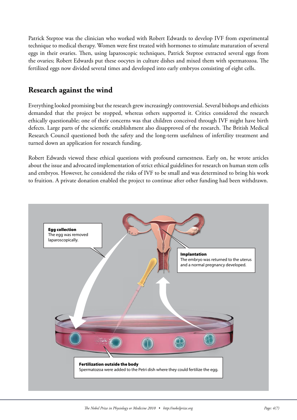Patrick Steptoe was the clinician who worked with Robert Edwards to develop IVF from experimental technique to medical therapy. Women were frst treated with hormones to stimulate maturation of several eggs in their ovaries. Then, using laparoscopic techniques, Patrick Steptoe extracted several eggs from the ovaries; Robert Edwards put these oocytes in culture dishes and mixed them with spermatozoa. The fertilized eggs now divided several times and developed into early embryos consisting of eight cells.

## **Research against the wind**

Everything looked promising but the research grew increasingly controversial. Several bishops and ethicists demanded that the project be stopped, whereas others supported it. Critics considered the research ethically questionable; one of their concerns was that children conceived through IVF might have birth defects. Large parts of the scientific establishment also disapproved of the research. The British Medical Research Council questioned both the safety and the long-term usefulness of infertility treatment and turned down an application for research funding.

Robert Edwards viewed these ethical questions with profound earnestness. Early on, he wrote articles about the issue and advocated implementation of strict ethical guidelines for research on human stem cells and embryos. However, he considered the risks of IVF to be small and was determined to bring his work to fruition. A private donation enabled the project to continue after other funding had been withdrawn.

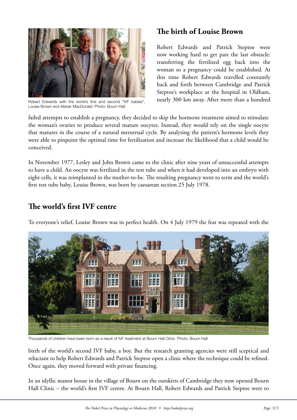

Robert Edwards with the world's first and second "IVF babies", Louise Brown and Alistair MacDonald. Photo: Bourn Hall

## **The birth of Louise Brown**

Robert Edwards and Patrick Steptoe were now working hard to get past the last obstacle: transferring the fertilized egg back into the woman so a pregnancy could be established. At this time Robert Edwards travelled constantly back and forth between Cambridge and Patrick Steptoe's workplace at the hospital in Oldham, nearly 300 km away. After more than a hundred

failed attempts to establish a pregnancy, they decided to skip the hormone treatment aimed to stimulate the woman's ovaries to produce several mature oocytes. Instead, they would rely on the single oocyte that matures in the course of a natural menstrual cycle. By analysing the patient's hormone levels they were able to pinpoint the optimal time for fertilization and increase the likelihood that a child would be conceived.

In November 1977, Lesley and John Brown came to the clinic after nine years of unsuccessful attempts to have a child. An oocyte was fertilized in the test tube and when it had developed into an embryo with eight cells, it was reimplanted in the mother-to-be. The resulting pregnancy went to term and the world's frst test tube baby, Louise Brown, was born by caesarean section 25 July 1978.

## **The world's first IVF centre**

To everyone's relief, Louise Brown was in perfect health. On 4 July 1979 the feat was repeated with the



Thousands of children have been born as a result of IVF treatment at Bourn Hall Clinic. Photo: Bourn Hall

birth of the world's second IVF baby, a boy. But the research granting agencies were still sceptical and reluctant to help Robert Edwards and Patrick Steptoe open a clinic where the technique could be refned. Once again, they moved forward with private fnancing.

In an idyllic manor house in the village of Bourn on the outskirts of Cambridge they now opened Bourn Hall Clinic – the world's frst IVF centre. At Bourn Hall, Robert Edwards and Patrick Steptoe were to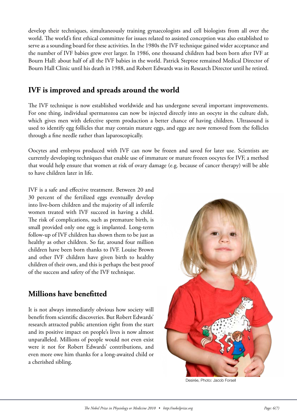develop their techniques, simultaneously training gynaecologists and cell biologists from all over the world. The world's first ethical committee for issues related to assisted conception was also established to serve as a sounding board for these activities. In the 1980s the IVF technique gained wider acceptance and the number of IVF babies grew ever larger. In 1986, one thousand children had been born after IVF at Bourn Hall: about half of all the IVF babies in the world. Patrick Steptoe remained Medical Director of Bourn Hall Clinic until his death in 1988, and Robert Edwards was its Research Director until he retired.

# **IVF is improved and spreads around the world**

The IVF technique is now established worldwide and has undergone several important improvements. For one thing, individual spermatozoa can now be injected directly into an oocyte in the culture dish, which gives men with defective sperm production a better chance of having children. Ultrasound is used to identify egg follicles that may contain mature eggs, and eggs are now removed from the follicles through a fne needle rather than laparoscopically.

Oocytes and embryos produced with IVF can now be frozen and saved for later use. Scientists are currently developing techniques that enable use of immature or mature frozen oocytes for IVF, a method that would help ensure that women at risk of ovary damage (e.g. because of cancer therapy) will be able to have children later in life.

IVF is a safe and efective treatment. Between 20 and 30 percent of the fertilized eggs eventually develop into live-born children and the majority of all infertile women treated with IVF succeed in having a child. The risk of complications, such as premature birth, is small provided only one egg is implanted. Long-term follow-up of IVF children has shown them to be just as healthy as other children. So far, around four million children have been born thanks to IVF. Louise Brown and other IVF children have given birth to healthy children of their own, and this is perhaps the best proof of the success and safety of the IVF technique.

# **Millions have beneftted**

It is not always immediately obvious how society will beneft from scientifc discoveries. But Robert Edwards' research attracted public attention right from the start and its positive impact on people's lives is now almost unparalleled. Millions of people would not even exist were it not for Robert Edwards' contributions, and even more owe him thanks for a long-awaited child or a cherished sibling.



Desirée, Photo: Jacob Forsell